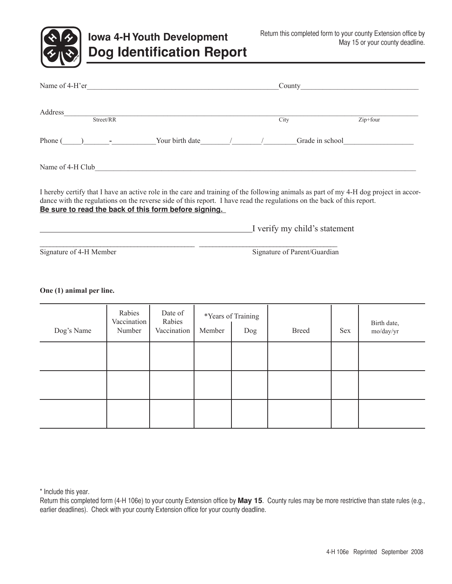

# **Iowa 4-H Youth Development Dog Identification Report**

| Name of 4-H'er                                                                                                                                                                                                                                                                                                           |  |  |                               | County                       |          |  |
|--------------------------------------------------------------------------------------------------------------------------------------------------------------------------------------------------------------------------------------------------------------------------------------------------------------------------|--|--|-------------------------------|------------------------------|----------|--|
|                                                                                                                                                                                                                                                                                                                          |  |  |                               | City                         | Zip+four |  |
| Phone $( )$ - Your birth date $/$                                                                                                                                                                                                                                                                                        |  |  |                               | Grade in school              |          |  |
| Name of 4-H Club<br><u>Name of 4-H Club</u>                                                                                                                                                                                                                                                                              |  |  |                               |                              |          |  |
| I hereby certify that I have an active role in the care and training of the following animals as part of my 4-H dog project in accor-<br>dance with the regulations on the reverse side of this report. I have read the regulations on the back of this report.<br>Be sure to read the back of this form before signing. |  |  |                               |                              |          |  |
|                                                                                                                                                                                                                                                                                                                          |  |  | I verify my child's statement |                              |          |  |
| Signature of 4-H Member                                                                                                                                                                                                                                                                                                  |  |  |                               | Signature of Parent/Guardian |          |  |

#### **One (1) animal per line.**

| Dog's Name | Rabies<br>Vaccination<br>Number | Date of<br>Rabies<br>Vaccination | *Years of Training<br>Member<br>Dog |  | <b>Breed</b> | Sex | Birth date,<br>mo/day/yr |
|------------|---------------------------------|----------------------------------|-------------------------------------|--|--------------|-----|--------------------------|
|            |                                 |                                  |                                     |  |              |     |                          |
|            |                                 |                                  |                                     |  |              |     |                          |
|            |                                 |                                  |                                     |  |              |     |                          |

\* Include this year.

Return this completed form (4-H 106e) to your county Extension office by **May 15**. County rules may be more restrictive than state rules (e.g., earlier deadlines). Check with your county Extension office for your county deadline.